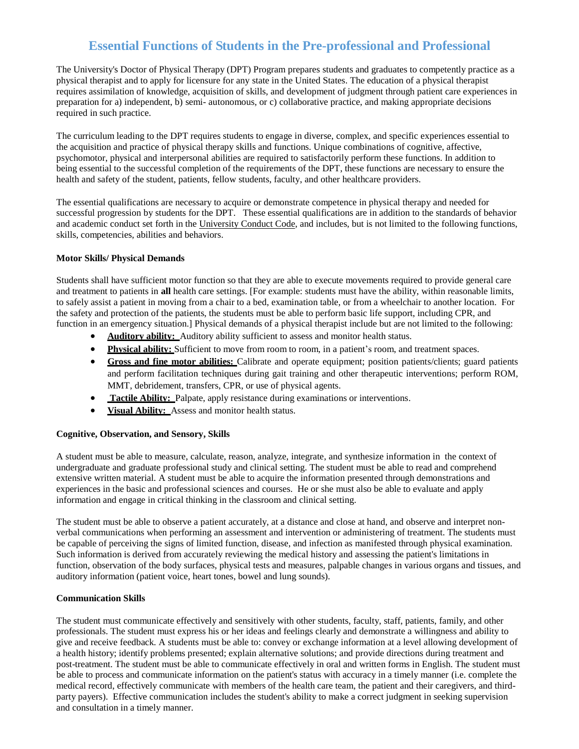# **Essential Functions of Students in the Pre-professional and Professional**

The University's Doctor of Physical Therapy (DPT) Program prepares students and graduates to competently practice as a physical therapist and to apply for licensure for any state in the United States. The education of a physical therapist requires assimilation of knowledge, acquisition of skills, and development of judgment through patient care experiences in preparation for a) independent, b) semi- autonomous, or c) collaborative practice, and making appropriate decisions required in such practice.

The curriculum leading to the DPT requires students to engage in diverse, complex, and specific experiences essential to the acquisition and practice of physical therapy skills and functions. Unique combinations of cognitive, affective, psychomotor, physical and interpersonal abilities are required to satisfactorily perform these functions. In addition to being essential to the successful completion of the requirements of the DPT, these functions are necessary to ensure the health and safety of the student, patients, fellow students, faculty, and other healthcare providers.

The essential qualifications are necessary to acquire or demonstrate competence in physical therapy and needed for successful progression by students for the DPT. These essential qualifications are in addition to the standards of behavior and academic conduct set forth in the University Conduct Code, and includes, but is not limited to the following functions, skills, competencies, abilities and behaviors.

## **Motor Skills/ Physical Demands**

Students shall have sufficient motor function so that they are able to execute movements required to provide general care and treatment to patients in **all** health care settings. [For example: students must have the ability, within reasonable limits, to safely assist a patient in moving from a chair to a bed, examination table, or from a wheelchair to another location. For the safety and protection of the patients, the students must be able to perform basic life support, including CPR, and function in an emergency situation.] Physical demands of a physical therapist include but are not limited to the following:

- **Auditory ability:** Auditory ability sufficient to assess and monitor health status.
- **Physical ability:** Sufficient to move from room to room, in a patient's room, and treatment spaces.
- **Gross and fine motor abilities:** Calibrate and operate equipment; position patients/clients; guard patients and perform facilitation techniques during gait training and other therapeutic interventions; perform ROM, MMT, debridement, transfers, CPR, or use of physical agents.
- **Tactile Ability:** Palpate, apply resistance during examinations or interventions.
- **Visual Ability:** Assess and monitor health status.

## **Cognitive, Observation, and Sensory, Skills**

A student must be able to measure, calculate, reason, analyze, integrate, and synthesize information in the context of undergraduate and graduate professional study and clinical setting. The student must be able to read and comprehend extensive written material. A student must be able to acquire the information presented through demonstrations and experiences in the basic and professional sciences and courses. He or she must also be able to evaluate and apply information and engage in critical thinking in the classroom and clinical setting.

The student must be able to observe a patient accurately, at a distance and close at hand, and observe and interpret nonverbal communications when performing an assessment and intervention or administering of treatment. The students must be capable of perceiving the signs of limited function, disease, and infection as manifested through physical examination. Such information is derived from accurately reviewing the medical history and assessing the patient's limitations in function, observation of the body surfaces, physical tests and measures, palpable changes in various organs and tissues, and auditory information (patient voice, heart tones, bowel and lung sounds).

## **Communication Skills**

The student must communicate effectively and sensitively with other students, faculty, staff, patients, family, and other professionals. The student must express his or her ideas and feelings clearly and demonstrate a willingness and ability to give and receive feedback. A students must be able to: convey or exchange information at a level allowing development of a health history; identify problems presented; explain alternative solutions; and provide directions during treatment and post-treatment. The student must be able to communicate effectively in oral and written forms in English. The student must be able to process and communicate information on the patient's status with accuracy in a timely manner (i.e. complete the medical record, effectively communicate with members of the health care team, the patient and their caregivers, and thirdparty payers). Effective communication includes the student's ability to make a correct judgment in seeking supervision and consultation in a timely manner.